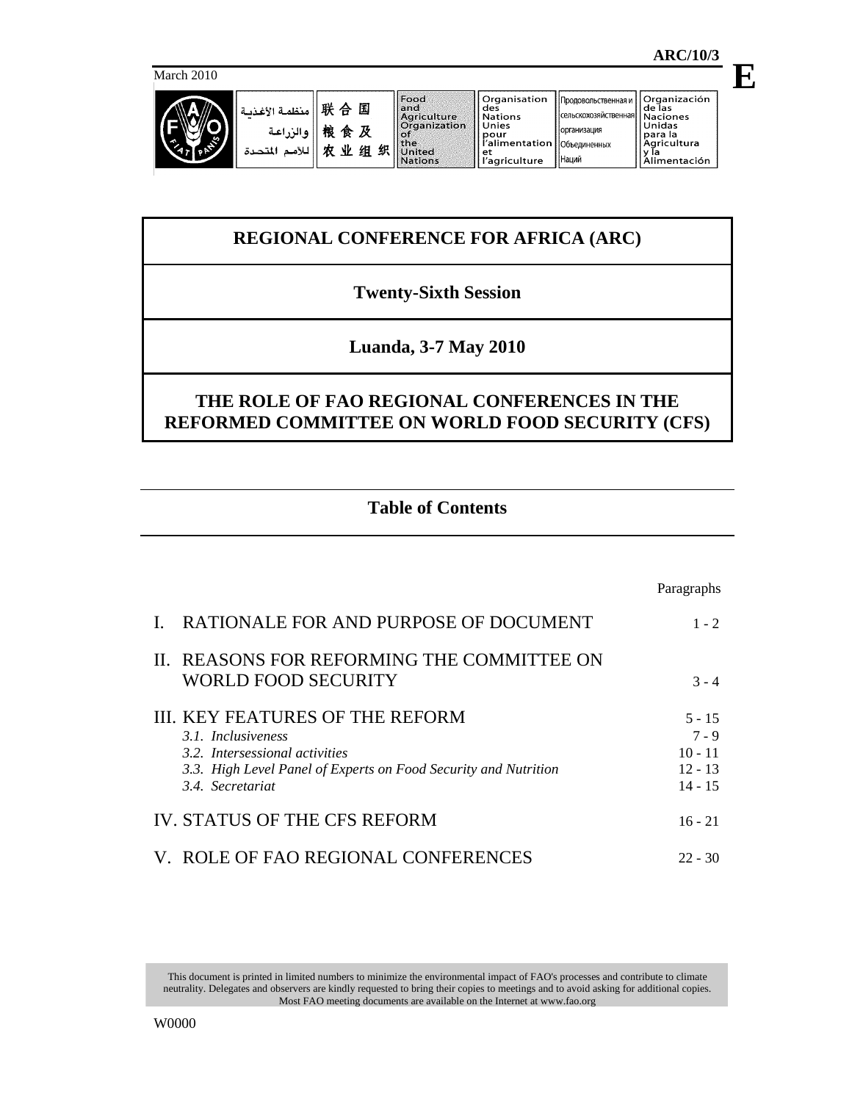**E**

March 2010



|             | <b>UI yailisativii</b> |
|-------------|------------------------|
| ٦d          | des                    |
| griculture  | <b>Nations</b>         |
| rganization | Unies                  |
|             | pour                   |
| ۱e          | l'alimentation         |
| nited       |                        |
| ations      | l'agriculture          |
|             |                        |

Наций

# **REGIONAL CONFERENCE FOR AFRICA (ARC)**

## **Twenty-Sixth Session**

## **Luanda, 3-7 May 2010**

## **THE ROLE OF FAO REGIONAL CONFERENCES IN THE REFORMED COMMITTEE ON WORLD FOOD SECURITY (CFS)**

## **Table of Contents**

|                                                                                                                                                                               | Paragraphs                                                 |
|-------------------------------------------------------------------------------------------------------------------------------------------------------------------------------|------------------------------------------------------------|
| RATIONALE FOR AND PURPOSE OF DOCUMENT                                                                                                                                         | $1 - 2$                                                    |
| II. REASONS FOR REFORMING THE COMMITTEE ON<br><b>WORLD FOOD SECURITY</b>                                                                                                      | $3 - 4$                                                    |
| III. KEY FEATURES OF THE REFORM<br>3.1. Inclusiveness<br>3.2. Intersessional activities<br>3.3. High Level Panel of Experts on Food Security and Nutrition<br>3.4 Secretariat | $5 - 15$<br>$7 - 9$<br>$10 - 11$<br>$12 - 13$<br>$14 - 15$ |
| <b>IV. STATUS OF THE CFS REFORM</b>                                                                                                                                           | $16 - 21$                                                  |
| V. ROLE OF FAO REGIONAL CONFERENCES                                                                                                                                           | $22 - 30$                                                  |

This document is printed in limited numbers to minimize the environmental impact of FAO's processes and contribute to climate neutrality. Delegates and observers are kindly requested to bring their copies to meetings and to avoid asking for additional copies. Most FAO meeting documents are available on the Internet at www.fao.org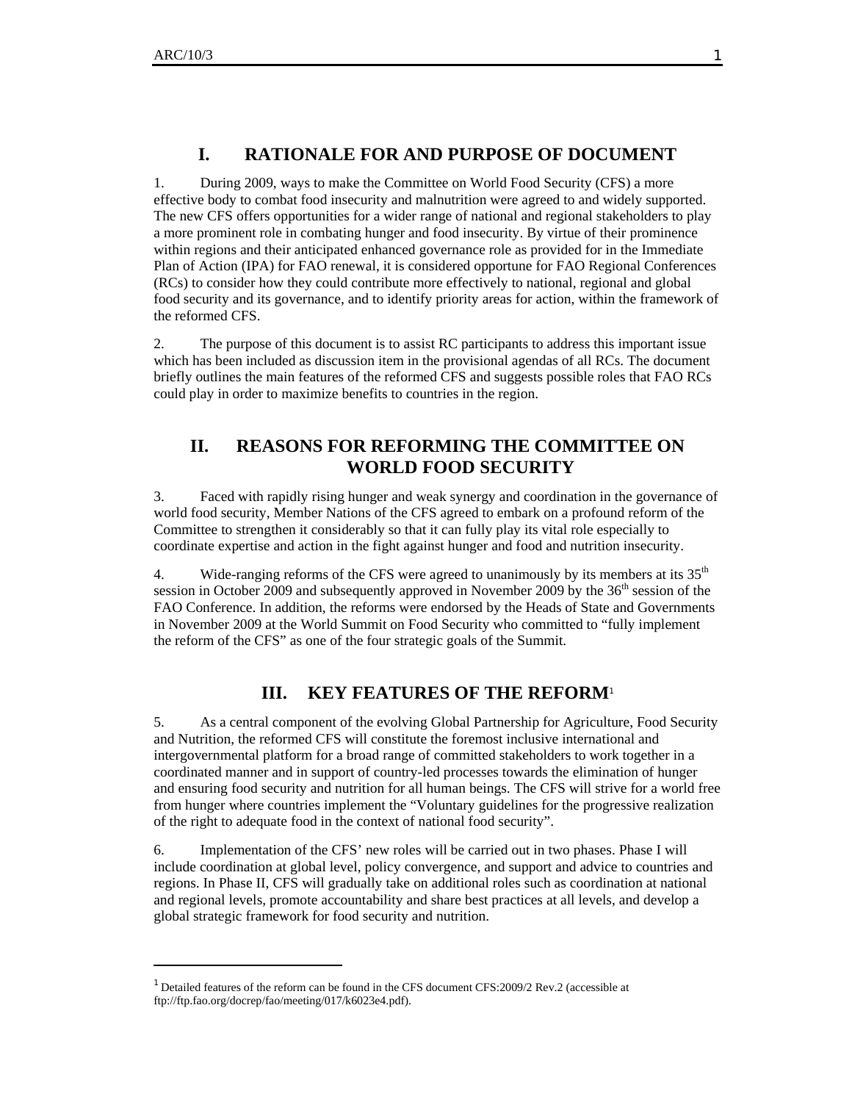$\overline{a}$ 

### **I. RATIONALE FOR AND PURPOSE OF DOCUMENT**

1. During 2009, ways to make the Committee on World Food Security (CFS) a more effective body to combat food insecurity and malnutrition were agreed to and widely supported. The new CFS offers opportunities for a wider range of national and regional stakeholders to play a more prominent role in combating hunger and food insecurity. By virtue of their prominence within regions and their anticipated enhanced governance role as provided for in the Immediate Plan of Action (IPA) for FAO renewal, it is considered opportune for FAO Regional Conferences (RCs) to consider how they could contribute more effectively to national, regional and global food security and its governance, and to identify priority areas for action, within the framework of the reformed CFS.

2. The purpose of this document is to assist RC participants to address this important issue which has been included as discussion item in the provisional agendas of all RCs. The document briefly outlines the main features of the reformed CFS and suggests possible roles that FAO RCs could play in order to maximize benefits to countries in the region.

## **II. REASONS FOR REFORMING THE COMMITTEE ON WORLD FOOD SECURITY**

3. Faced with rapidly rising hunger and weak synergy and coordination in the governance of world food security, Member Nations of the CFS agreed to embark on a profound reform of the Committee to strengthen it considerably so that it can fully play its vital role especially to coordinate expertise and action in the fight against hunger and food and nutrition insecurity.

4. Wide-ranging reforms of the CFS were agreed to unanimously by its members at its  $35<sup>th</sup>$ session in October 2009 and subsequently approved in November 2009 by the  $36<sup>th</sup>$  session of the FAO Conference. In addition, the reforms were endorsed by the Heads of State and Governments in November 2009 at the World Summit on Food Security who committed to "fully implement the reform of the CFS" as one of the four strategic goals of the Summit.

### **III. KEY FEATURES OF THE REFORM**<sup>1</sup>

5. As a central component of the evolving Global Partnership for Agriculture, Food Security and Nutrition, the reformed CFS will constitute the foremost inclusive international and intergovernmental platform for a broad range of committed stakeholders to work together in a coordinated manner and in support of country-led processes towards the elimination of hunger and ensuring food security and nutrition for all human beings. The CFS will strive for a world free from hunger where countries implement the "Voluntary guidelines for the progressive realization of the right to adequate food in the context of national food security".

6. Implementation of the CFS' new roles will be carried out in two phases. Phase I will include coordination at global level, policy convergence, and support and advice to countries and regions. In Phase II, CFS will gradually take on additional roles such as coordination at national and regional levels, promote accountability and share best practices at all levels, and develop a global strategic framework for food security and nutrition.

<sup>&</sup>lt;sup>1</sup> Detailed features of the reform can be found in the CFS document CFS:2009/2 Rev.2 (accessible at ftp://ftp.fao.org/docrep/fao/meeting/017/k6023e4.pdf).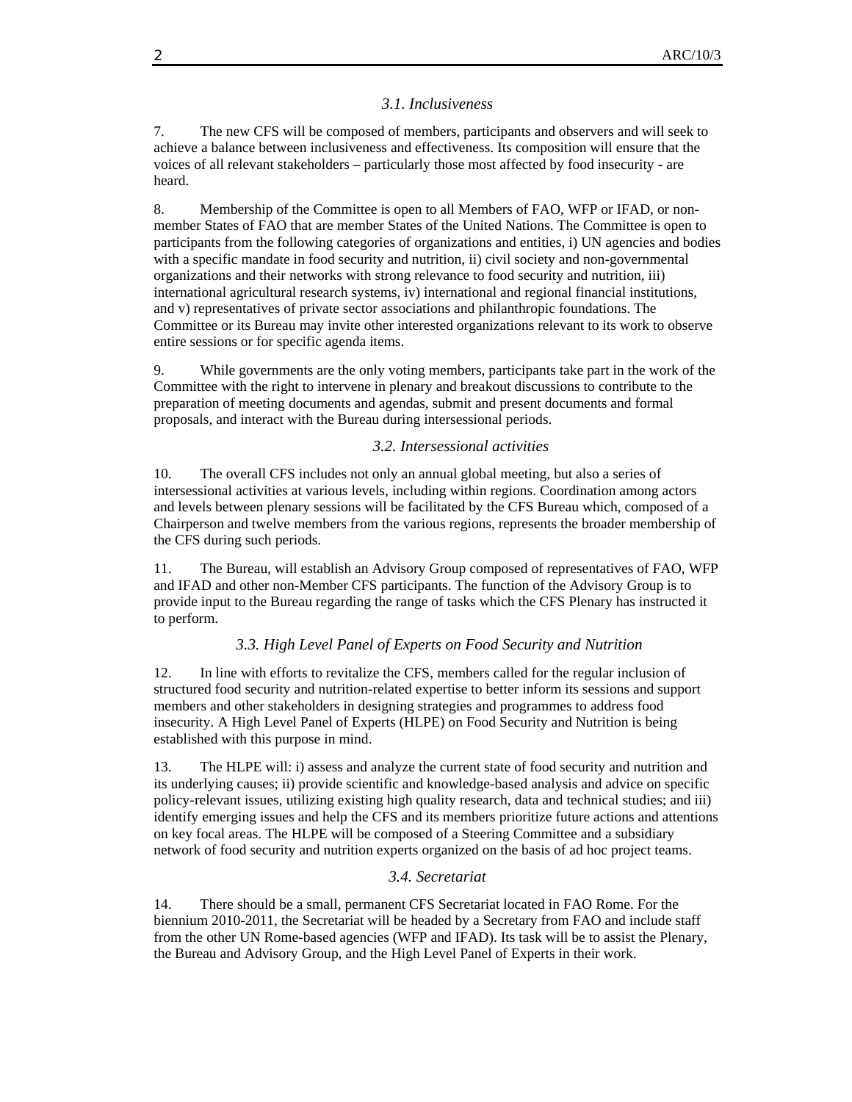#### *3.1. Inclusiveness*

7. The new CFS will be composed of members, participants and observers and will seek to achieve a balance between inclusiveness and effectiveness. Its composition will ensure that the voices of all relevant stakeholders – particularly those most affected by food insecurity - are heard.

8. Membership of the Committee is open to all Members of FAO, WFP or IFAD, or nonmember States of FAO that are member States of the United Nations. The Committee is open to participants from the following categories of organizations and entities, i) UN agencies and bodies with a specific mandate in food security and nutrition, ii) civil society and non-governmental organizations and their networks with strong relevance to food security and nutrition, iii) international agricultural research systems, iv) international and regional financial institutions, and v) representatives of private sector associations and philanthropic foundations. The Committee or its Bureau may invite other interested organizations relevant to its work to observe entire sessions or for specific agenda items.

9. While governments are the only voting members, participants take part in the work of the Committee with the right to intervene in plenary and breakout discussions to contribute to the preparation of meeting documents and agendas, submit and present documents and formal proposals, and interact with the Bureau during intersessional periods.

#### *3.2. Intersessional activities*

10. The overall CFS includes not only an annual global meeting, but also a series of intersessional activities at various levels, including within regions. Coordination among actors and levels between plenary sessions will be facilitated by the CFS Bureau which, composed of a Chairperson and twelve members from the various regions, represents the broader membership of the CFS during such periods.

11. The Bureau, will establish an Advisory Group composed of representatives of FAO, WFP and IFAD and other non-Member CFS participants. The function of the Advisory Group is to provide input to the Bureau regarding the range of tasks which the CFS Plenary has instructed it to perform.

#### *3.3. High Level Panel of Experts on Food Security and Nutrition*

12. In line with efforts to revitalize the CFS, members called for the regular inclusion of structured food security and nutrition-related expertise to better inform its sessions and support members and other stakeholders in designing strategies and programmes to address food insecurity. A High Level Panel of Experts (HLPE) on Food Security and Nutrition is being established with this purpose in mind.

13. The HLPE will: i) assess and analyze the current state of food security and nutrition and its underlying causes; ii) provide scientific and knowledge-based analysis and advice on specific policy-relevant issues, utilizing existing high quality research, data and technical studies; and iii) identify emerging issues and help the CFS and its members prioritize future actions and attentions on key focal areas. The HLPE will be composed of a Steering Committee and a subsidiary network of food security and nutrition experts organized on the basis of ad hoc project teams.

#### *3.4. Secretariat*

14. There should be a small, permanent CFS Secretariat located in FAO Rome. For the biennium 2010-2011, the Secretariat will be headed by a Secretary from FAO and include staff from the other UN Rome-based agencies (WFP and IFAD). Its task will be to assist the Plenary, the Bureau and Advisory Group, and the High Level Panel of Experts in their work.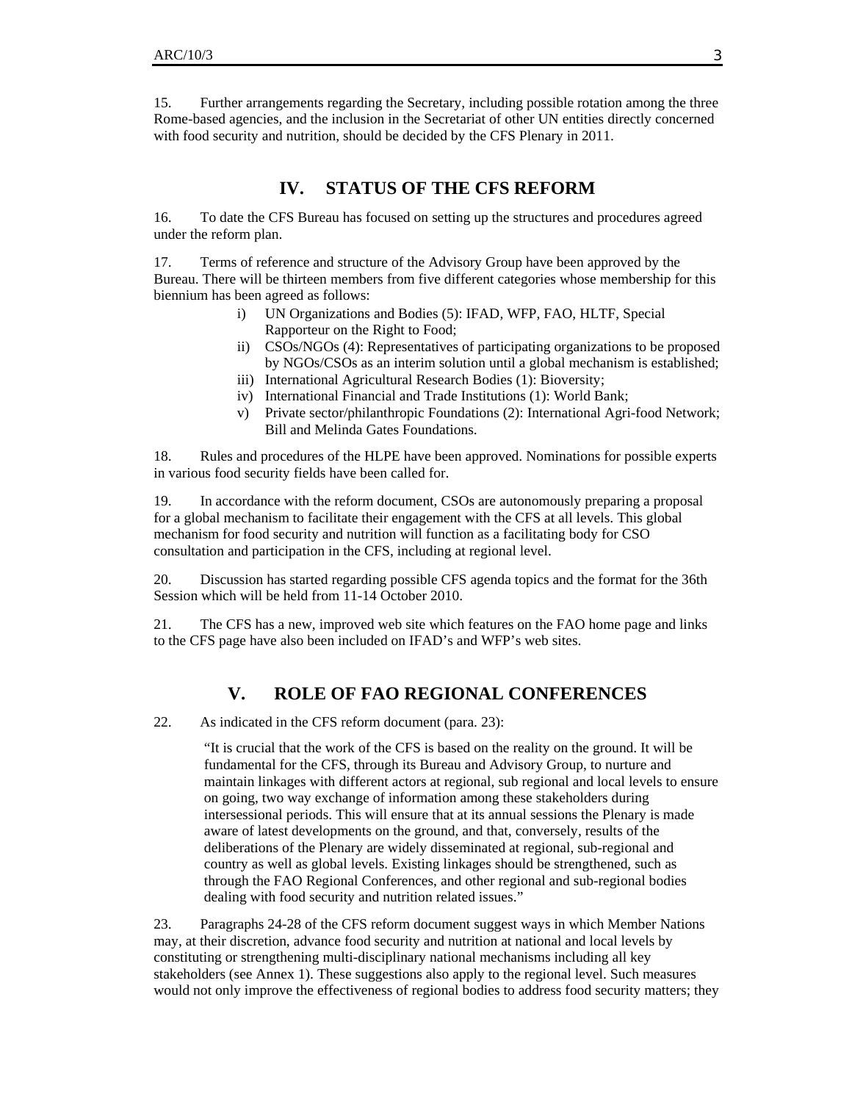15. Further arrangements regarding the Secretary, including possible rotation among the three Rome-based agencies, and the inclusion in the Secretariat of other UN entities directly concerned with food security and nutrition, should be decided by the CFS Plenary in 2011.

### **IV. STATUS OF THE CFS REFORM**

16. To date the CFS Bureau has focused on setting up the structures and procedures agreed under the reform plan.

17. Terms of reference and structure of the Advisory Group have been approved by the Bureau. There will be thirteen members from five different categories whose membership for this biennium has been agreed as follows:

- i) UN Organizations and Bodies (5): IFAD, WFP, FAO, HLTF, Special Rapporteur on the Right to Food;
- ii) CSOs/NGOs (4): Representatives of participating organizations to be proposed by NGOs/CSOs as an interim solution until a global mechanism is established;
- iii) International Agricultural Research Bodies (1): Bioversity;
- iv) International Financial and Trade Institutions (1): World Bank;
- v) Private sector/philanthropic Foundations (2): International Agri-food Network; Bill and Melinda Gates Foundations.

18. Rules and procedures of the HLPE have been approved. Nominations for possible experts in various food security fields have been called for.

19. In accordance with the reform document, CSOs are autonomously preparing a proposal for a global mechanism to facilitate their engagement with the CFS at all levels. This global mechanism for food security and nutrition will function as a facilitating body for CSO consultation and participation in the CFS, including at regional level.

20. Discussion has started regarding possible CFS agenda topics and the format for the 36th Session which will be held from 11-14 October 2010.

21. The CFS has a new, improved web site which features on the FAO home page and links to the CFS page have also been included on IFAD's and WFP's web sites.

### **V. ROLE OF FAO REGIONAL CONFERENCES**

22. As indicated in the CFS reform document (para. 23):

"It is crucial that the work of the CFS is based on the reality on the ground. It will be fundamental for the CFS, through its Bureau and Advisory Group, to nurture and maintain linkages with different actors at regional, sub regional and local levels to ensure on going, two way exchange of information among these stakeholders during intersessional periods. This will ensure that at its annual sessions the Plenary is made aware of latest developments on the ground, and that, conversely, results of the deliberations of the Plenary are widely disseminated at regional, sub-regional and country as well as global levels. Existing linkages should be strengthened, such as through the FAO Regional Conferences, and other regional and sub-regional bodies dealing with food security and nutrition related issues."

23. Paragraphs 24-28 of the CFS reform document suggest ways in which Member Nations may, at their discretion, advance food security and nutrition at national and local levels by constituting or strengthening multi-disciplinary national mechanisms including all key stakeholders (see Annex 1). These suggestions also apply to the regional level. Such measures would not only improve the effectiveness of regional bodies to address food security matters; they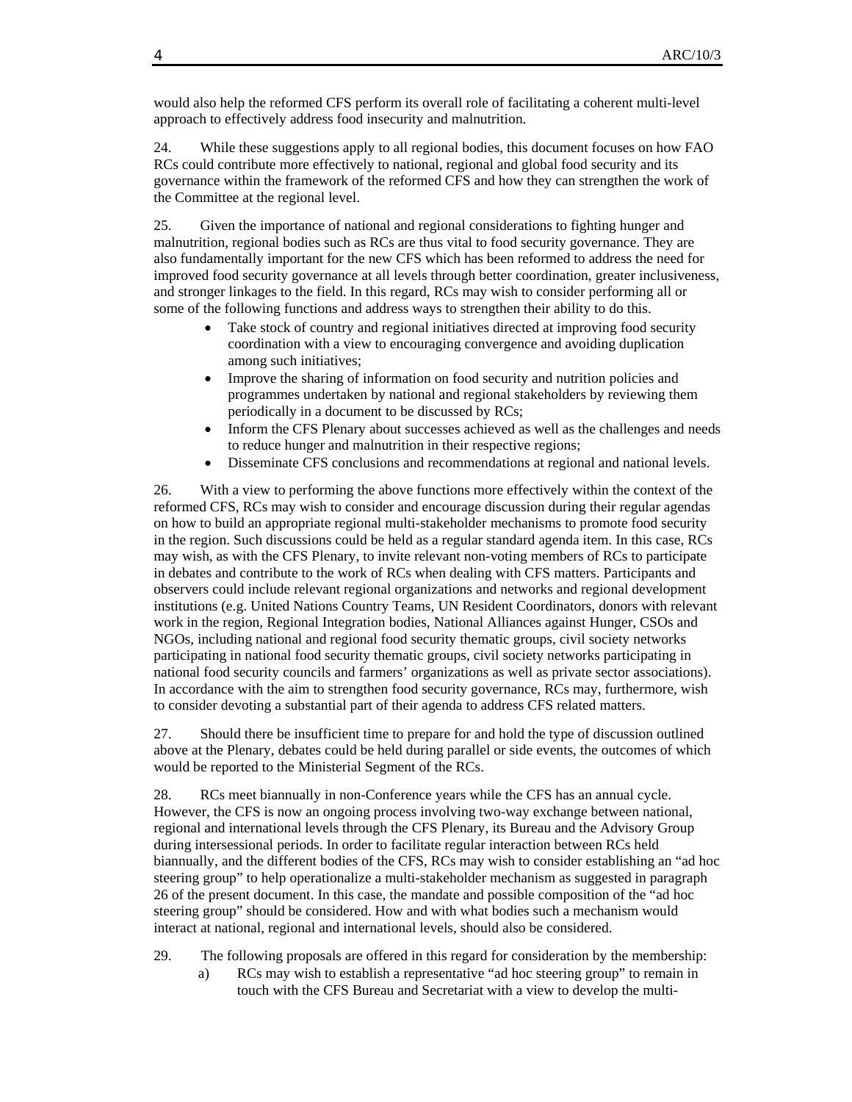would also help the reformed CFS perform its overall role of facilitating a coherent multi-level approach to effectively address food insecurity and malnutrition.

24. While these suggestions apply to all regional bodies, this document focuses on how FAO RCs could contribute more effectively to national, regional and global food security and its governance within the framework of the reformed CFS and how they can strengthen the work of the Committee at the regional level.

25. Given the importance of national and regional considerations to fighting hunger and malnutrition, regional bodies such as RCs are thus vital to food security governance. They are also fundamentally important for the new CFS which has been reformed to address the need for improved food security governance at all levels through better coordination, greater inclusiveness, and stronger linkages to the field. In this regard, RCs may wish to consider performing all or some of the following functions and address ways to strengthen their ability to do this.

- Take stock of country and regional initiatives directed at improving food security coordination with a view to encouraging convergence and avoiding duplication among such initiatives;
- Improve the sharing of information on food security and nutrition policies and programmes undertaken by national and regional stakeholders by reviewing them periodically in a document to be discussed by RCs;
- Inform the CFS Plenary about successes achieved as well as the challenges and needs to reduce hunger and malnutrition in their respective regions;
- Disseminate CFS conclusions and recommendations at regional and national levels.

26. With a view to performing the above functions more effectively within the context of the reformed CFS, RCs may wish to consider and encourage discussion during their regular agendas on how to build an appropriate regional multi-stakeholder mechanisms to promote food security in the region. Such discussions could be held as a regular standard agenda item. In this case, RCs may wish, as with the CFS Plenary, to invite relevant non-voting members of RCs to participate in debates and contribute to the work of RCs when dealing with CFS matters. Participants and observers could include relevant regional organizations and networks and regional development institutions (e.g. United Nations Country Teams, UN Resident Coordinators, donors with relevant work in the region, Regional Integration bodies, National Alliances against Hunger, CSOs and NGOs, including national and regional food security thematic groups, civil society networks participating in national food security thematic groups, civil society networks participating in national food security councils and farmers' organizations as well as private sector associations). In accordance with the aim to strengthen food security governance, RCs may, furthermore, wish to consider devoting a substantial part of their agenda to address CFS related matters.

27. Should there be insufficient time to prepare for and hold the type of discussion outlined above at the Plenary, debates could be held during parallel or side events, the outcomes of which would be reported to the Ministerial Segment of the RCs.

28. RCs meet biannually in non-Conference years while the CFS has an annual cycle. However, the CFS is now an ongoing process involving two-way exchange between national, regional and international levels through the CFS Plenary, its Bureau and the Advisory Group during intersessional periods. In order to facilitate regular interaction between RCs held biannually, and the different bodies of the CFS, RCs may wish to consider establishing an "ad hoc steering group" to help operationalize a multi-stakeholder mechanism as suggested in paragraph 26 of the present document. In this case, the mandate and possible composition of the "ad hoc steering group" should be considered. How and with what bodies such a mechanism would interact at national, regional and international levels, should also be considered.

- 29. The following proposals are offered in this regard for consideration by the membership:
	- a) RCs may wish to establish a representative "ad hoc steering group" to remain in touch with the CFS Bureau and Secretariat with a view to develop the multi-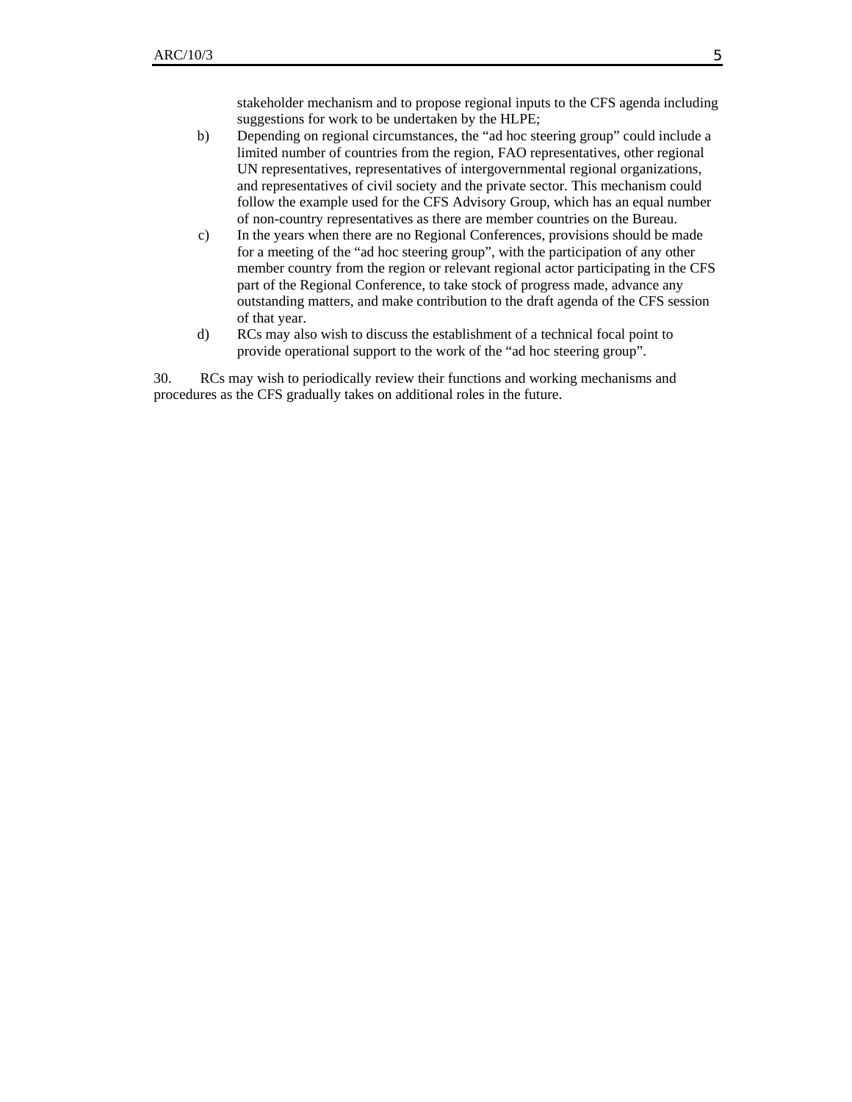stakeholder mechanism and to propose regional inputs to the CFS agenda including suggestions for work to be undertaken by the HLPE;

- b) Depending on regional circumstances, the "ad hoc steering group" could include a limited number of countries from the region, FAO representatives, other regional UN representatives, representatives of intergovernmental regional organizations, and representatives of civil society and the private sector. This mechanism could follow the example used for the CFS Advisory Group, which has an equal number of non-country representatives as there are member countries on the Bureau.
- c) In the years when there are no Regional Conferences, provisions should be made for a meeting of the "ad hoc steering group", with the participation of any other member country from the region or relevant regional actor participating in the CFS part of the Regional Conference, to take stock of progress made, advance any outstanding matters, and make contribution to the draft agenda of the CFS session of that year.
- d) RCs may also wish to discuss the establishment of a technical focal point to provide operational support to the work of the "ad hoc steering group".

30. RCs may wish to periodically review their functions and working mechanisms and procedures as the CFS gradually takes on additional roles in the future.